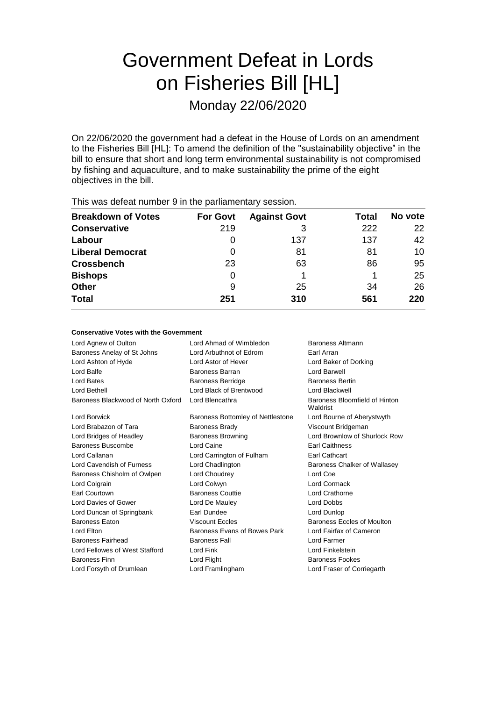# Government Defeat in Lords on Fisheries Bill [HL]

Monday 22/06/2020

On 22/06/2020 the government had a defeat in the House of Lords on an amendment to the Fisheries Bill [HL]: To amend the definition of the "sustainability objective" in the bill to ensure that short and long term environmental sustainability is not compromised by fishing and aquaculture, and to make sustainability the prime of the eight objectives in the bill.

| <b>THIS WAS GETERL HUITIDEL 3 III LITE PAHIAHTEHLALY SESSION.</b> |                 |                     |       |         |  |
|-------------------------------------------------------------------|-----------------|---------------------|-------|---------|--|
| <b>Breakdown of Votes</b>                                         | <b>For Govt</b> | <b>Against Govt</b> | Total | No vote |  |
| <b>Conservative</b>                                               | 219             |                     | 222   | 22      |  |
| Labour                                                            | O               | 137                 | 137   | 42      |  |
| <b>Liberal Democrat</b>                                           | O               | 81                  | 81    | 10      |  |
| <b>Crossbench</b>                                                 | 23              | 63                  | 86    | 95      |  |
| <b>Bishops</b>                                                    | 0               |                     |       | 25      |  |
| <b>Other</b>                                                      | 9               | 25                  | 34    | 26      |  |
| <b>Total</b>                                                      | 251             | 310                 | 561   | 220     |  |
|                                                                   |                 |                     |       |         |  |

This was defeat number 9 in the parliamentary session.

#### **Conservative Votes with the Government**

| Lord Agnew of Oulton               | Lord Ahmad of Wimbledon<br>Baroness Altmann |                                           |
|------------------------------------|---------------------------------------------|-------------------------------------------|
| Baroness Anelay of St Johns        | Lord Arbuthnot of Edrom                     | Earl Arran                                |
| Lord Ashton of Hyde                | Lord Astor of Hever                         | Lord Baker of Dorking                     |
| Lord Balfe                         | Baroness Barran                             | Lord Barwell                              |
| Lord Bates                         | <b>Baroness Berridge</b>                    | <b>Baroness Bertin</b>                    |
| Lord Bethell                       | Lord Black of Brentwood                     | Lord Blackwell                            |
| Baroness Blackwood of North Oxford | Lord Blencathra                             | Baroness Bloomfield of Hinton<br>Waldrist |
| Lord Borwick                       | Baroness Bottomley of Nettlestone           | Lord Bourne of Aberystwyth                |
| Lord Brabazon of Tara              | <b>Baroness Brady</b>                       | Viscount Bridgeman                        |
| Lord Bridges of Headley            | <b>Baroness Browning</b>                    | Lord Brownlow of Shurlock Row             |
| Baroness Buscombe                  | Lord Caine                                  | <b>Earl Caithness</b>                     |
| Lord Callanan                      | Lord Carrington of Fulham                   | <b>Earl Cathcart</b>                      |
| Lord Cavendish of Furness          | Lord Chadlington                            | Baroness Chalker of Wallasey              |
| Baroness Chisholm of Owlpen        | Lord Choudrey                               | Lord Coe                                  |
| Lord Colgrain                      | Lord Colwyn                                 | Lord Cormack                              |
| Earl Courtown                      | <b>Baroness Couttie</b>                     | Lord Crathorne                            |
| Lord Davies of Gower               | Lord De Mauley                              | Lord Dobbs                                |
| Lord Duncan of Springbank          | Earl Dundee                                 | Lord Dunlop                               |
| <b>Baroness Eaton</b>              | <b>Viscount Eccles</b>                      | Baroness Eccles of Moulton                |
| Lord Elton                         | Baroness Evans of Bowes Park                | Lord Fairfax of Cameron                   |
| Baroness Fairhead                  | <b>Baroness Fall</b>                        | Lord Farmer                               |
| Lord Fellowes of West Stafford     | Lord Fink                                   | Lord Finkelstein                          |
| <b>Baroness Finn</b>               | Lord Flight                                 | <b>Baroness Fookes</b>                    |
| Lord Forsyth of Drumlean           | Lord Framlingham                            | Lord Fraser of Corriegarth                |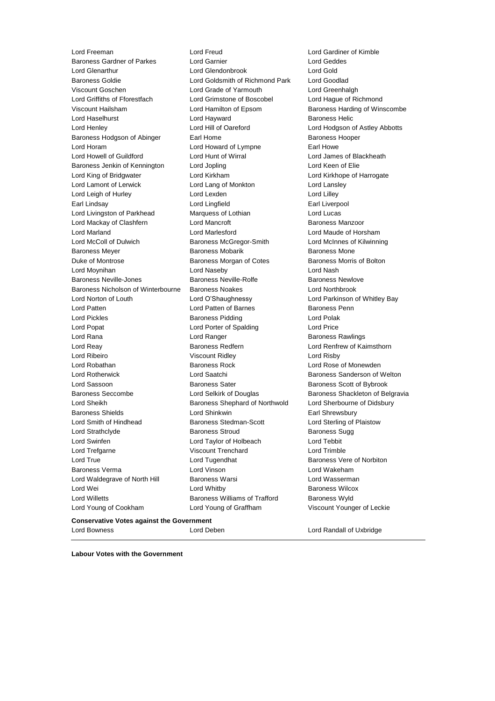**Conservative Votes against the Government** Lord Freeman Lord Freud Lord Gardiner of Kimble Baroness Gardner of Parkes Lord Glenarthur Lord Glendonbrook Lord Gold Baroness Goldie Lord Goldsmith of Richmond Park Lord Goodlad Viscount Goschen **Lord Grade of Yarmouth** Cord Greenhalgh<br>
Lord Griffiths of Fforestfach **Lord Grimstone of Boscobel** Lord Haque of Ri Viscount Hailsham **Network** Lord Hamilton of Epsom **Baroness Harding of Winscombe** Lord Haselhurst **Lord Hayward** Lord Hayward **Baroness Helic** Lord Henley **Lord Hill of Oareford** Lord Hodgson of Astley Abbotts Baroness Hodgson of Abinger Earl Home **Earl Home** Baroness Hooper Lord Horam Lord Howard of Lympne Earl Howe Lord Howell of Guildford Lord Hunt of Wirral Lord James of Blackheath Baroness Jenkin of Kennington Lord Jopling Contact Lord Keen of Elie Lord King of Bridgwater Lord Kirkham Lord Kirkhope of Harrogate Lord Lamont of Lerwick Lord Lang of Monkton Lord Lansley Lord Leigh of Hurley Lord Lexden Lord Lilley Earl Lindsay Lord Lingfield Earl Liverpool Lord Livingston of Parkhead Marquess of Lothian and Lord Lucas Lord Mackay of Clashfern **Lord Mancroft Communist Clashfern** Baroness Manzoor Lord Marland Lord Marlesford Lord Maude of Horsham Lord McColl of Dulwich Baroness McGregor-Smith Lord McInnes of Kilwinning Baroness Meyer **Baroness Mobarik** Baroness Mobarik Baroness Mone Duke of Montrose Baroness Morgan of Cotes Baroness Morris of Bolton Lord Moynihan Lord Naseby Lord Nash Baroness Neville-Jones Baroness Neville-Rolfe Baroness Newlove Baroness Nicholson of Winterbourne Baroness Noakes Lord Northbrook Lord Norton of Louth Lord O'Shaughnessy Lord Parkinson of Whitley Bay Lord Patten **Lord Patten of Barnes** Baroness Penn Lord Pickles Baroness Pidding Lord Polak Lord Popat Lord Porter of Spalding Lord Price Lord Rana **Lord Ranger Baroness Rawlings Lord Ranger Baroness Rawlings** Lord Reay Baroness Redfern Lord Renfrew of Kaimsthorn Lord Ribeiro Viscount Ridley Lord Risby Lord Robathan **Baroness Rock** Lord Rose of Monewden Lord Rotherwick **Lord Saatchi** Baroness Sanderson of Welton Lord Sassoon **Baroness Sater** Baroness Sater Baroness Scott of Bybrook Baroness Seccombe **Lord Selkirk of Douglas** Baroness Shackleton of Belgravia Lord Sheikh **Baroness Shephard of Northwold** Lord Sherbourne of Didsbury Baroness Shields **Lord Shinkwin** Earl Shrewsbury Lord Smith of Hindhead Baroness Stedman-Scott Lord Sterling of Plaistow Lord Strathclyde **Baroness Stroud** Baroness Sugg Baroness Sugg Lord Swinfen Lord Taylor of Holbeach Lord Tebbit Lord Trefgarne Viscount Trenchard Lord Trimble Lord True **Lord Tugendhat** Baroness Vere of Norbiton Baroness Verma Lord Vinson Lord Wakeham Lord Waldegrave of North Hill Baroness Warsi North Hill Baroness Warsi Lord Wasserman Lord Wei **Lord Whitby Baroness Wilcox Baroness Wilcox** Lord Willetts Baroness Williams of Trafford Baroness Wyld Lord Young of Cookham Lord Young of Graffham Viscount Younger of Leckie

Lord Grimstone of Boscobel Lord Hague of Richmond<br>
Lord Hamilton of Epsom Baroness Harding of Wins

Lord Bowness Lord Deben Lord Randall of Uxbridge

**Labour Votes with the Government**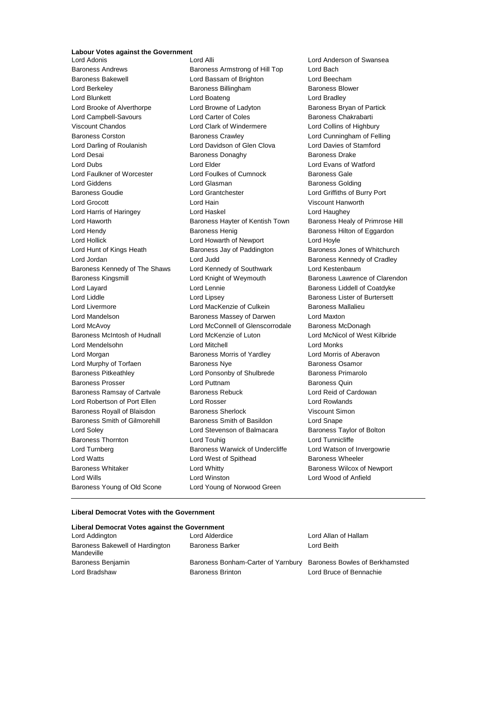# **Labour Votes against the Government**

Baroness Andrews **Baroness Armstrong of Hill Top** Lord Bach Baroness Bakewell Lord Bassam of Brighton Lord Beecham Lord Berkeley **Baroness Billingham** Baroness Blower Lord Blunkett **Lord Boateng** Lord Bradley **Lord Bradley** Lord Brooke of Alverthorpe Lord Browne of Ladyton Baroness Bryan of Partick Lord Campbell-Savours **Lord Carter of Coles** Baroness Chakrabarti Viscount Chandos Lord Clark of Windermere Lord Collins of Highbury Baroness Corston Baroness Crawley Lord Cunningham of Felling Lord Darling of Roulanish Lord Davidson of Glen Clova Lord Davies of Stamford Lord Desai **Baroness Donaghy** Baroness Donaghy Baroness Drake Lord Dubs Lord Elder Lord Evans of Watford Lord Faulkner of Worcester Lord Foulkes of Cumnock Baroness Gale Lord Giddens Lord Glasman Baroness Golding Baroness Goudie Lord Grantchester Lord Griffiths of Burry Port Lord Grocott **Lord Hain** Lord Hain Viscount Hanworth Lord Harris of Haringey Lord Haskel Lord Haughey Lord Haworth **Baroness Hayter of Kentish Town** Baroness Healy of Primrose Hill Lord Hendy **Baroness Henig Baroness Henig Baroness Hilton of Eggardon** Lord Hollick Lord Howarth of Newport Lord Hoyle Lord Hunt of Kings Heath Baroness Jay of Paddington Baroness Jones of Whitchurch Lord Jordan Lord Judd Baroness Kennedy of Cradley Baroness Kennedy of The Shaws Lord Kennedy of Southwark Lord Kestenbaum Baroness Kingsmill Lord Knight of Weymouth Baroness Lawrence of Clarendon Lord Layard Lord Lennie Baroness Liddell of Coatdyke Lord Liddle Lord Lipsey Baroness Lister of Burtersett Lord Livermore Lord MacKenzie of Culkein Baroness Mallalieu Lord Mandelson Baroness Massey of Darwen Lord Maxton Lord McAvoy **Lord McConnell of Glenscorrodale** Baroness McDonagh Baroness McIntosh of Hudnall Lord McKenzie of Luton Lord McNicol of West Kilbride Lord Mendelsohn Lord Mitchell Lord Monks Lord Morgan **Baroness Morris of Yardley** Lord Morris of Aberavon Lord Murphy of Torfaen **Baroness Nye** Baroness Osamor Baroness Pitkeathley Lord Ponsonby of Shulbrede Baroness Primarolo Baroness Prosser **Baroness Prosser** Lord Puttnam **Baroness Quin** Baroness Ramsay of Cartvale Baroness Rebuck Lord Reid of Cardowan Lord Robertson of Port Ellen Lord Rosser Lord Rowlands Baroness Royall of Blaisdon Baroness Sherlock **Baroness Sherlock** Viscount Simon Baroness Smith of Gilmorehill Baroness Smith of Basildon Lord Snape Lord Soley **Lord Stevenson of Balmacara** Baroness Taylor of Bolton Baroness Thornton Lord Touhig Lord Tunnicliffe Lord Turnberg **Baroness Warwick of Undercliffe** Lord Watson of Invergowrie Lord Watts **Lord West of Spithead** Baroness Wheeler Baroness Whitaker **Lord Whitty Lord Whitty** Baroness Wilcox of Newport Lord Wills Lord Winston Lord Wood of Anfield Baroness Young of Old Scone Lord Young of Norwood Green

**Lord Anderson of Swansea** 

#### **Liberal Democrat Votes with the Government**

#### **Liberal Democrat Votes against the Government**

| Lord Addington                                | Lord Alderdice                     | Lord Allan of Hallam           |
|-----------------------------------------------|------------------------------------|--------------------------------|
| Baroness Bakewell of Hardington<br>Mandeville | <b>Baroness Barker</b>             | Lord Beith                     |
| Baroness Benjamin                             | Baroness Bonham-Carter of Yarnbury | Baroness Bowles of Berkhamsted |
| Lord Bradshaw                                 | <b>Baroness Brinton</b>            | Lord Bruce of Bennachie        |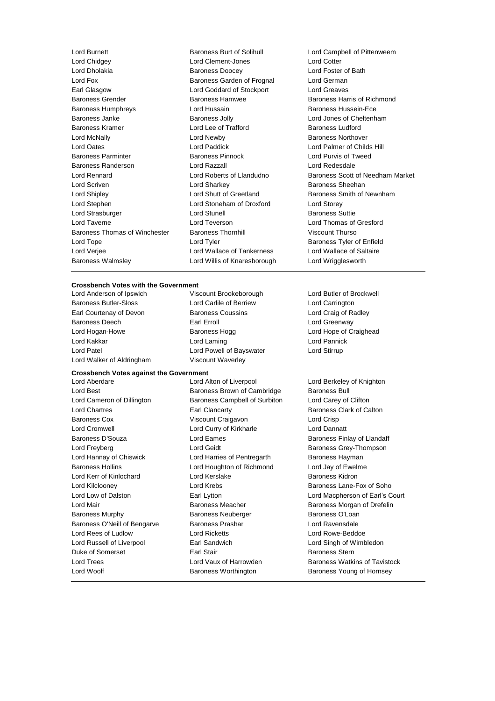Lord Burnett **Baroness Burt of Solihull** Lord Campbell of Pittenweem<br>
Lord Chidaev **Lord Clement-Jones** Lord Cotter Lord Dholakia Baroness Doocey Lord Foster of Bath Lord Fox **Baroness Garden of Frognal** Lord German Earl Glasgow Lord Goddard of Stockport Lord Greaves Baroness Grender **Baroness Hamwee** Baroness Hamwee **Baroness Hammed Baroness Hammed Baroness** Hammed Baroness Hammed Baroness Hammed Baroness Hammed Baroness Hammed Baroness Hammed Baroness Hammed Baroness Hammed Baroness Baroness Humphreys Lord Hussain Baroness Hussein-Ece Baroness Janke Baroness Jolly Lord Jones of Cheltenham Baroness Kramer Lord Lee of Trafford Baroness Ludford Lord McNally **Lord Newby Conserverse Intervention Conserverse Intervention Conserverse Intervention Conserverse Intervention Conserverse Intervention Conserverse Intervention Conserverse Intervention Conserverse Interven** Lord Oates Lord Paddick Lord Palmer of Childs Hill Baroness Parminter Baroness Pinnock Lord Purvis of Tweed Baroness Randerson Lord Razzall Lord Redesdale Lord Rennard Lord Roberts of Llandudno Baroness Scott of Needham Market Lord Scriven **Lord Sharkey Constant Constant Lord Sharkey Baroness Sheehan** Lord Shipley **Lord Shutt of Greetland** Baroness Smith of Newnham Lord Stephen Lord Stoneham of Droxford Lord Storey Lord Strasburger **Lord Stunell** Lord Stunell **Baroness** Suttie Lord Taverne Lord Teverson Lord Thomas of Gresford Baroness Thomas of Winchester Baroness Thornhill Viscount Thurso Lord Tope Lord Tyler Baroness Tyler of Enfield Lord Verjee Lord Wallace of Tankerness Lord Wallace of Saltaire Baroness Walmsley Lord Willis of Knaresborough Lord Wrigglesworth

Lord Clement-Jones Lord Cotter

#### **Crossbench Votes with the Government**

Baroness Butler-Sloss Lord Carlile of Berriew Lord Carrington Earl Courtenay of Devon Baroness Coussins Lord Craig of Radley Baroness Deech **Earl Erroll** Earl Erroll Earl Erroll Lord Greenway Lord Hogan-Howe **Baroness Hogg Lord Hope of Craighead** Lord Hope of Craighead Lord Kakkar Lord Laming Lord Pannick Lord Patel Lord Powell of Bayswater Lord Stirrup Lord Walker of Aldringham Viscount Waverley

Lord Anderson of Ipswich Viscount Brookeborough Lord Butler of Brockwell

**Crossbench Votes against the Government** Lord Best **Baroness Brown of Cambridge** Baroness Bull Lord Cameron of Dillington Baroness Campbell of Surbiton Lord Carey of Clifton Lord Chartres Earl Clancarty Baroness Clark of Calton Baroness Cox **Viscount Craigavon** Lord Crisp Lord Cromwell Lord Curry of Kirkharle Lord Dannatt Baroness D'Souza **March 2008** Lord Eames **Baroness Finlay of Llandaff** Lord Freyberg **Contains Container Containers** Lord Geidt Baroness Grey-Thompson Lord Hannay of Chiswick **Lord Harries of Pentregarth** Baroness Hayman Baroness Hollins Lord Houghton of Richmond Lord Jay of Ewelme Lord Kerr of Kinlochard Lord Kerslake Baroness Kidron Lord Kilclooney **Lord Krebs** Baroness Lane-Fox of Soho Lord Low of Dalston Earl Lytton Lord Macpherson of Earl's Court Lord Mair Baroness Meacher Baroness Morgan of Drefelin Baroness Murphy **Baroness Neuberger** Baroness O'Loan Baroness O'Neill of Bengarve Baroness Prashar Corresponding Lord Ravensdale Lord Rees of Ludlow Lord Ricketts Lord Rowe-Beddoe Lord Russell of Liverpool Earl Sandwich Lord Singh of Wimbledon Duke of Somerset **Earl Stair** Earl Stair **Baroness Stern** Baroness Stern Lord Trees **Lord Vaux of Harrowden** Baroness Watkins of Tavistock

Lord Berkeley of Knighton Lord Woolf **Baroness Worthington** Baroness Young of Hornsey Baroness Young of Hornsey